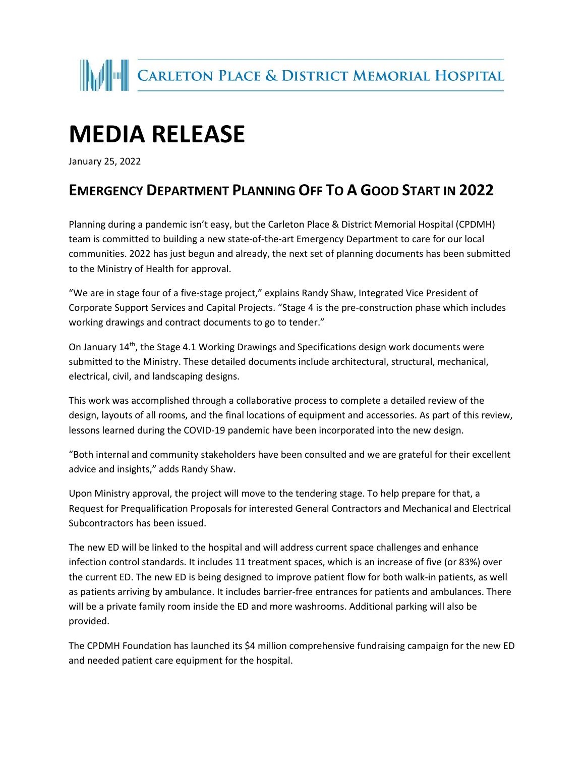

## **MEDIA RELEASE**

January 25, 2022

## **EMERGENCY DEPARTMENT PLANNING OFF TO A GOOD START IN 2022**

Planning during a pandemic isn't easy, but the Carleton Place & District Memorial Hospital (CPDMH) team is committed to building a new state-of-the-art Emergency Department to care for our local communities. 2022 has just begun and already, the next set of planning documents has been submitted to the Ministry of Health for approval.

"We are in stage four of a five-stage project," explains Randy Shaw, Integrated Vice President of Corporate Support Services and Capital Projects. "Stage 4 is the pre-construction phase which includes working drawings and contract documents to go to tender."

On January 14<sup>th</sup>, the Stage 4.1 Working Drawings and Specifications design work documents were submitted to the Ministry. These detailed documents include architectural, structural, mechanical, electrical, civil, and landscaping designs.

This work was accomplished through a collaborative process to complete a detailed review of the design, layouts of all rooms, and the final locations of equipment and accessories. As part of this review, lessons learned during the COVID-19 pandemic have been incorporated into the new design.

"Both internal and community stakeholders have been consulted and we are grateful for their excellent advice and insights," adds Randy Shaw.

Upon Ministry approval, the project will move to the tendering stage. To help prepare for that, a Request for Prequalification Proposals for interested General Contractors and Mechanical and Electrical Subcontractors has been issued.

The new ED will be linked to the hospital and will address current space challenges and enhance infection control standards. It includes 11 treatment spaces, which is an increase of five (or 83%) over the current ED. The new ED is being designed to improve patient flow for both walk-in patients, as well as patients arriving by ambulance. It includes barrier-free entrances for patients and ambulances. There will be a private family room inside the ED and more washrooms. Additional parking will also be provided.

The CPDMH Foundation has launched its \$4 million comprehensive fundraising campaign for the new ED and needed patient care equipment for the hospital.